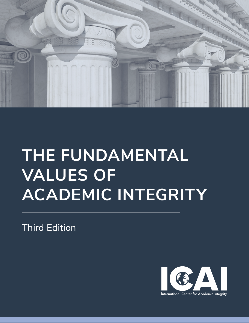

# **THE FUNDAMENTAL VALUES OF ACADEMIC INTEGRITY**

Third Edition

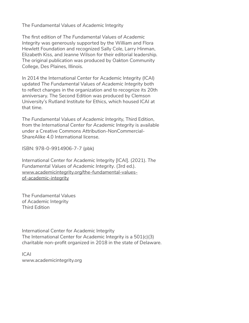The Fundamental Values of Academic Integrity

The first edition of *The Fundamental Values of Academic Integrity* was generously supported by the William and Flora Hewlett Foundation and recognized Sally Cole, Larry Hinman, Elizabeth Kiss, and Jeanne Wilson for their editorial leadership. The original publication was produced by Oakton Community College, Des Plaines, Illinois.

In 2014 the International Center for Academic Integrity (ICAI) updated *The Fundamental Values of Academic Integrity* both to reflect changes in the organization and to recognize its 20th anniversary. The Second Edition was produced by Clemson University's Rutland Institute for Ethics, which housed ICAI at that time.

*The Fundamental Values of Academic Integrity,* Third Edition, from the *International Center for Academic Integrity* is available under a Creative Commons Attribution-NonCommercial-ShareAlike 4.0 International license.

ISBN: 978-0-9914906-7-7 (pbk)

International Center for Academic Integrity [ICAI]. (2021). *The Fundamental Values of Academic Integrity*. (3rd ed.). [www.academicintegrity.org/the-fundamental-values](http://www.academicintegrity.org/the-fundamental-values-of-academic-integrity/)[of-academic-integrity](http://www.academicintegrity.org/the-fundamental-values-of-academic-integrity/)

The Fundamental Values of Academic Integrity Third Edition

International Center for Academic Integrity The International Center for Academic Integrity is a 501(c)(3) charitable non-profit organized in 2018 in the state of Delaware.

ICAI [www.academicintegrity.org](http://www.academicintegrity.org)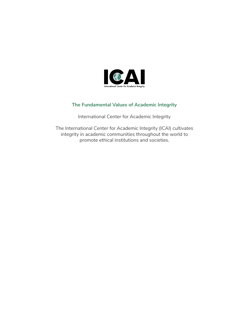

#### **The Fundamental Values of Academic Integrity**

International Center for Academic Integrity

The International Center for Academic Integrity (ICAI) cultivates integrity in academic communities throughout the world to promote ethical institutions and societies.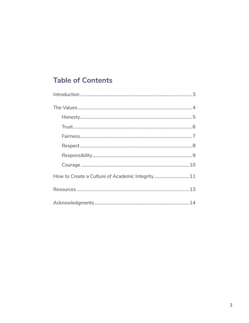# **Table of Contents**

| How to Create a Culture of Academic Integrity11 |
|-------------------------------------------------|
|                                                 |
|                                                 |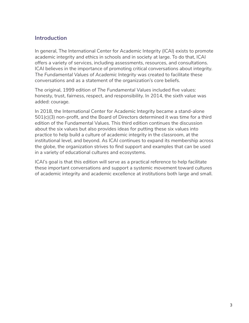## **Introduction**

In general, The International Center for Academic Integrity (ICAI) exists to promote academic integrity and ethics in schools and in society at large. To do that, ICAI offers a variety of services, including assessments, resources, and consultations. ICAI believes in the importance of promoting critical conversations about integrity. *The Fundamental Values of Academic Integrity* was created to facilitate these conversations and as a statement of the organization's core beliefs.

The original, 1999 edition of *The Fundamental Values* included five values: honesty, trust, fairness, respect, and responsibility. In 2014, the sixth value was added: courage.

In 2018, the International Center for Academic Integrity became a stand-alone 501(c)(3) non-profit, and the Board of Directors determined it was time for a third edition of the Fundamental Values. This third edition continues the discussion about the six values but also provides ideas for putting these six values into practice to help build a culture of academic integrity in the classroom, at the institutional level, and beyond. As ICAI continues to expand its membership across the globe, the organization strives to find support and examples that can be used in a variety of educational cultures and ecosystems.

ICAI's goal is that this edition will serve as a practical reference to help facilitate these important conversations and support a systemic movement toward cultures of academic integrity and academic excellence at institutions both large and small.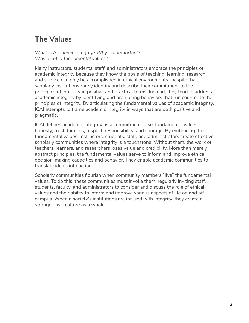# **The Values**

*What is Academic Integrity? Why Is It Important? Why identify fundamental values?*

Many instructors, students, staff, and administrators embrace the principles of academic integrity because they know the goals of teaching, learning, research, and service can only be accomplished in ethical environments. Despite that, scholarly institutions rarely identify and describe their commitment to the principles of integrity in positive and practical terms. Instead, they tend to address academic integrity by identifying and prohibiting behaviors that run counter to the principles of integrity. By articulating the fundamental values of academic integrity, ICAI attempts to frame academic integrity in ways that are both positive and pragmatic.

ICAI defines academic integrity as a commitment to six fundamental values: honesty, trust, fairness, respect, responsibility, and courage. By embracing these fundamental values, instructors, students, staff, and administrators create effective scholarly communities where integrity is a touchstone. Without them, the work of teachers, learners, and researchers loses value and credibility. More than merely abstract principles, the fundamental values serve to inform and improve ethical decision-making capacities and behavior. They enable academic communities to translate ideals into action.

Scholarly communities flourish when community members "live" the fundamental values. To do this, these communities must invoke them, regularly inviting staff, students, faculty, and administrators to consider and discuss the role of ethical values and their ability to inform and improve various aspects of life on and off campus. When a society's institutions are infused with integrity, they create a stronger civic culture as a whole.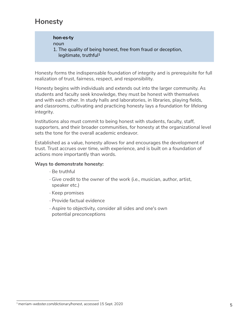## **Honesty**

**hon·es·ty** *noun* 1. The quality of being honest, free from fraud or deception, legitimate, truthful1

Honesty forms the indispensable foundation of integrity and is prerequisite for full realization of trust, fairness, respect, and responsibility.

Honesty begins with individuals and extends out into the larger community. As students and faculty seek knowledge, they must be honest with themselves and with each other. In study halls and laboratories, in libraries, playing fields, and classrooms, cultivating and practicing honesty lays a foundation for lifelong integrity.

Institutions also must commit to being honest with students, faculty, staff, supporters, and their broader communities, for honesty at the organizational level sets the tone for the overall academic endeavor.

Established as a value, honesty allows for and encourages the development of trust. Trust accrues over time, with experience, and is built on a foundation of actions more importantly than words.

#### **Ways to demonstrate honesty:**

- · Be truthful
- · Give credit to the owner of the work (i.e., musician, author, artist, speaker etc.)
- · Keep promises
- · Provide factual evidence
- · Aspire to objectivity, consider all sides and one's own potential preconceptions

<sup>1</sup> merriam-webster.com/dictionary/honest, accessed 15 Sept. 2020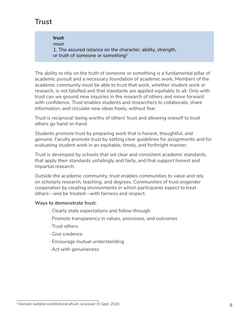# **Trust**

**trust** *noun* 1. The assured reliance on the character, ability, strength, or truth of someone or something<sup>2</sup>

The ability to rely on the truth of someone or something is a fundamental pillar of academic pursuit and a necessary foundation of academic work. Members of the academic community must be able to trust that work, whether student work or research, is not falsified and that standards are applied equitably to all. Only with trust can we ground new inquiries in the research of others and move forward with confidence. Trust enables students and researchers to collaborate, share information, and circulate new ideas freely, without fear.

Trust is reciprocal: being worthy of others' trust and allowing oneself to trust others go hand-in-hand.

Students promote trust by preparing work that is honest, thoughtful, and genuine. Faculty promote trust by setting clear guidelines for assignments and for evaluating student work in an equitable, timely, and forthright manner.

Trust is developed by schools that set clear and consistent academic standards, that apply their standards unfailingly and fairly, and that support honest and impartial research.

Outside the academic community, trust enables communities to value and rely on scholarly research, teaching, and degrees. Communities of trust engender cooperation by creating environments in which participants expect to treat others—and be treated—with fairness and respect.

#### **Ways to demonstrate trust:**

- · Clearly state expectations and follow through
- · Promote transparency in values, processes, and outcomes
- · Trust others
- · Give credence
- · Encourage mutual understanding
- · Act with genuineness

 $^2$  merriam-webster.com/dictionary/trust, accessed 15 Sept. 2020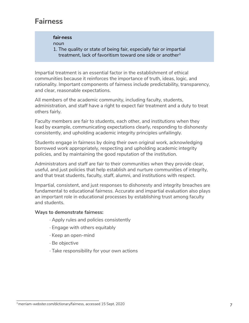## **Fairness**

#### **fair·ness**

*noun*

1. The quality or state of being fair, especially fair or impartial treatment, lack of favoritism toward one side or another<sup>3</sup>

Impartial treatment is an essential factor in the establishment of ethical communities because it reinforces the importance of truth, ideas, logic, and rationality. Important components of fairness include predictability, transparency, and clear, reasonable expectations.

All members of the academic community, including faculty, students, administration, and staff have a right to expect fair treatment and a duty to treat others fairly.

Faculty members are fair to students, each other, and institutions when they lead by example, communicating expectations clearly, responding to dishonesty consistently, and upholding academic integrity principles unfailingly.

Students engage in fairness by doing their own original work, acknowledging borrowed work appropriately, respecting and upholding academic integrity policies, and by maintaining the good reputation of the institution.

Administrators and staff are fair to their communities when they provide clear, useful, and just policies that help establish and nurture communities of integrity, and that treat students, faculty, staff, alumni, and institutions with respect.

Impartial, consistent, and just responses to dishonesty and integrity breaches are fundamental to educational fairness. Accurate and impartial evaluation also plays an important role in educational processes by establishing trust among faculty and students.

#### **Ways to demonstrate fairness:**

- · Apply rules and policies consistently
- · Engage with others equitably
- · Keep an open-mind
- · Be objective
- · Take responsibility for your own actions

<sup>7</sup> 3 merriam-webster.com/dictionary/fairness, accessed 15 Sept. 2020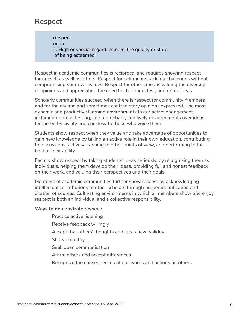## **Respect**

**re·spect** *noun* 1. High or special regard, esteem; the quality or state of being esteemed<sup>4</sup>

Respect in academic communities is reciprocal and requires showing respect for oneself as well as others. Respect for self means tackling challenges without compromising your own values. Respect for others means valuing the diversity of opinions and appreciating the need to challenge, test, and refine ideas.

Scholarly communities succeed when there is respect for community members and for the diverse and sometimes contradictory opinions expressed. The most dynamic and productive learning environments foster active engagement, including rigorous testing, spirited debate, and lively disagreements over ideas tempered by civility and courtesy to those who voice them.

Students show respect when they value and take advantage of opportunities to gain new knowledge by taking an active role in their own education, contributing to discussions, actively listening to other points of view, and performing to the best of their ability.

Faculty show respect by taking students' ideas seriously, by recognizing them as individuals, helping them develop their ideas, providing full and honest feedback on their work, and valuing their perspectives and their goals.

Members of academic communities further show respect by acknowledging intellectual contributions of other scholars through proper identification and citation of sources. Cultivating environments in which all members show and enjoy respect is both an individual and a collective responsibility.

#### **Ways to demonstrate respect:**

- · Practice active listening
- · Receive feedback willingly
- · Accept that others' thoughts and ideas have validity
- · Show empathy
- · Seek open communication
- · Affirm others and accept differences
- · Recognize the consequences of our words and actions on others

<sup>4</sup> merriam-webster.com/dictionary/respect, accessed 15 Sept. 2020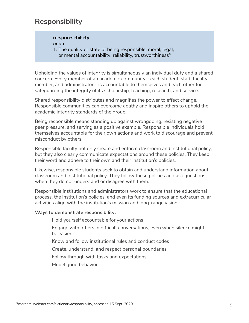## **Responsibility**

### **re·spon·si·bil·i·ty**

*noun*

1. The quality or state of being responsible; moral, legal, or mental accountability; reliability, trustworthiness $5$ 

Upholding the values of integrity is simultaneously an individual duty and a shared concern. Every member of an academic community—each student, staff, faculty member, and administrator—is accountable to themselves and each other for safeguarding the integrity of its scholarship, teaching, research, and service.

Shared responsibility distributes and magnifies the power to effect change. Responsible communities can overcome apathy and inspire others to uphold the academic integrity standards of the group.

Being responsible means standing up against wrongdoing, resisting negative peer pressure, and serving as a positive example. Responsible individuals hold themselves accountable for their own actions and work to discourage and prevent misconduct by others.

Responsible faculty not only create and enforce classroom and institutional policy, but they also clearly communicate expectations around these policies. They keep their word and adhere to their own and their institution's policies.

Likewise, responsible students seek to obtain and understand information about classroom and institutional policy. They follow these policies and ask questions when they do not understand or disagree with them.

Responsible institutions and administrators work to ensure that the educational process, the institution's policies, and even its funding sources and extracurricular activities align with the institution's mission and long-range vision.

#### **Ways to demonstrate responsibility:**

- · Hold yourself accountable for your actions
- · Engage with others in difficult conversations, even when silence might be easier
- · Know and follow institutional rules and conduct codes
- · Create, understand, and respect personal boundaries
- · Follow through with tasks and expectations
- · Model good behavior

<sup>5</sup> merriam-webster.com/dictionary/responsibility, accessed 15 Sept. 2020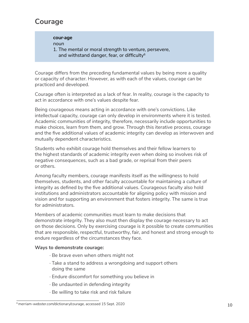# **Courage**

**cour·age**

*noun*

1. The mental or moral strength to venture, persevere, and withstand danger, fear, or difficulty $6$ 

Courage differs from the preceding fundamental values by being more a quality or capacity of character. However, as with each of the values, courage can be practiced and developed.

Courage often is interpreted as a lack of fear. In reality, courage is the capacity to act in accordance with one's values despite fear.

Being courageous means acting in accordance with one's convictions. Like intellectual capacity, courage can only develop in environments where it is tested. Academic communities of integrity, therefore, necessarily include opportunities to make choices, learn from them, and grow. Through this iterative process, courage and the five additional values of academic integrity can develop as interwoven and mutually dependent characteristics.

Students who exhibit courage hold themselves and their fellow learners to the highest standards of academic integrity even when doing so involves risk of negative consequences, such as a bad grade, or reprisal from their peers or others.

Among faculty members, courage manifests itself as the willingness to hold themselves, students, and other faculty accountable for maintaining a culture of integrity as defined by the five additional values. Courageous faculty also hold institutions and administrators accountable for aligning policy with mission and vision and for supporting an environment that fosters integrity. The same is true for administrators.

Members of academic communities must learn to make decisions that demonstrate integrity. They also must then display the courage necessary to act on those decisions. Only by exercising courage is it possible to create communities that are responsible, respectful, trustworthy, fair, and honest and strong enough to endure regardless of the circumstances they face.

#### **Ways to demonstrate courage:**

- · Be brave even when others might not
- · Take a stand to address a wrongdoing and support others doing the same
- · Endure discomfort for something you believe in
- · Be undaunted in defending integrity
- · Be willing to take risk and risk failure

<sup>6</sup> merriam-webster.com/dictionary/courage, accessed 15 Sept. 2020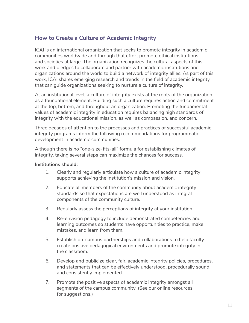## **How to Create a Culture of Academic Integrity**

ICAI is an international organization that seeks to promote integrity in academic communities worldwide and through that effort promote ethical institutions and societies at large. The organization recognizes the cultural aspects of this work and pledges to collaborate and partner with academic institutions and organizations around the world to build a network of integrity allies. As part of this work, ICAI shares emerging research and trends in the field of academic integrity that can guide organizations seeking to nurture a culture of integrity.

At an institutional level, a culture of integrity exists at the roots of the organization as a foundational element. Building such a culture requires action and commitment at the top, bottom, and throughout an organization. Promoting the fundamental values of academic integrity in education requires balancing high standards of integrity with the educational mission, as well as compassion, and concern.

Three decades of attention to the processes and practices of successful academic integrity programs inform the following recommendations for programmatic development in academic communities.

Although there is no "one-size-fits-all" formula for establishing climates of integrity, taking several steps can maximize the chances for success.

#### **Institutions should:**

- 1. Clearly and regularly articulate how a culture of academic integrity supports achieving the institution's mission and vision.
- 2. Educate all members of the community about academic integrity standards so that expectations are well understood as integral components of the community culture.
- 3. Regularly assess the perceptions of integrity at your institution.
- 4. Re-envision pedagogy to include demonstrated competencies and learning outcomes so students have opportunities to practice, make mistakes, and learn from them.
- 5. Establish on-campus partnerships and collaborations to help faculty create positive pedagogical environments and promote integrity in the classroom.
- 6. Develop and publicize clear, fair, academic integrity policies, procedures, and statements that can be effectively understood, procedurally sound, and consistently implemented.
- 7. Promote the positive aspects of academic integrity amongst all segments of the campus community. (See our online resources for suggestions.)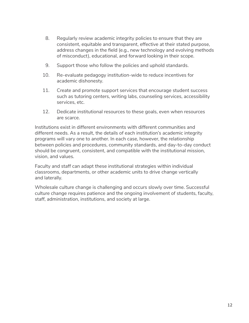- 8. Regularly review academic integrity policies to ensure that they are consistent, equitable and transparent, effective at their stated purpose, address changes in the field (e.g., new technology and evolving methods of misconduct), educational, and forward looking in their scope.
- 9. Support those who follow the policies and uphold standards.
- 10. Re-evaluate pedagogy institution-wide to reduce incentives for academic dishonesty.
- 11. Create and promote support services that encourage student success such as tutoring centers, writing labs, counseling services, accessibility services, etc.
- 12. Dedicate institutional resources to these goals, even when resources are scarce.

Institutions exist in different environments with different communities and different needs. As a result, the details of each institution's academic integrity programs will vary one to another. In each case, however, the relationship between policies and procedures, community standards, and day-to-day conduct should be congruent, consistent, and compatible with the institutional mission, vision, and values.

Faculty and staff can adapt these institutional strategies within individual classrooms, departments, or other academic units to drive change vertically and laterally.

Wholesale culture change is challenging and occurs slowly over time. Successful culture change requires patience and the ongoing involvement of students, faculty, staff, administration, institutions, and society at large.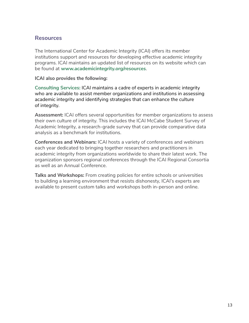## **Resources**

The International Center for Academic Integrity (ICAI) offers its member institutions support and resources for developing effective academic integrity programs. ICAI maintains an updated list of resources on its website which can be found at **[www.academicintegrity.org/resources](http://www.academicintegrity.org/resources)**.

#### **ICAI also provides the following:**

**Consulting Services:** ICAI maintains a cadre of experts in academic integrity who are available to assist member organizations and institutions in assessing academic integrity and identifying strategies that can enhance the culture of integrity.

**Assessment:** ICAI offers several opportunities for member organizations to assess their own culture of integrity. This includes the ICAI McCabe Student Survey of Academic Integrity, a research-grade survey that can provide comparative data analysis as a benchmark for institutions.

**Conferences and Webinars:** ICAI hosts a variety of conferences and webinars each year dedicated to bringing together researchers and practitioners in academic integrity from organizations worldwide to share their latest work. The organization sponsors regional conferences through the ICAI Regional Consortia as well as an Annual Conference.

**Talks and Workshops:** From creating policies for entire schools or universities to building a learning environment that resists dishonesty, ICAI's experts are available to present custom talks and workshops both in-person and online.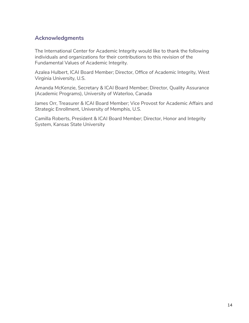## **Acknowledgments**

The International Center for Academic Integrity would like to thank the following individuals and organizations for their contributions to this revision of the Fundamental Values of Academic Integrity.

Azalea Hulbert, ICAI Board Member; Director, Office of Academic Integrity, West Virginia University, U.S.

Amanda McKenzie, Secretary & ICAI Board Member; Director, Quality Assurance (Academic Programs), University of Waterloo, Canada

James Orr, Treasurer & ICAI Board Member; Vice Provost for Academic Affairs and Strategic Enrollment, University of Memphis, U.S.

Camilla Roberts, President & ICAI Board Member; Director, Honor and Integrity System, Kansas State University